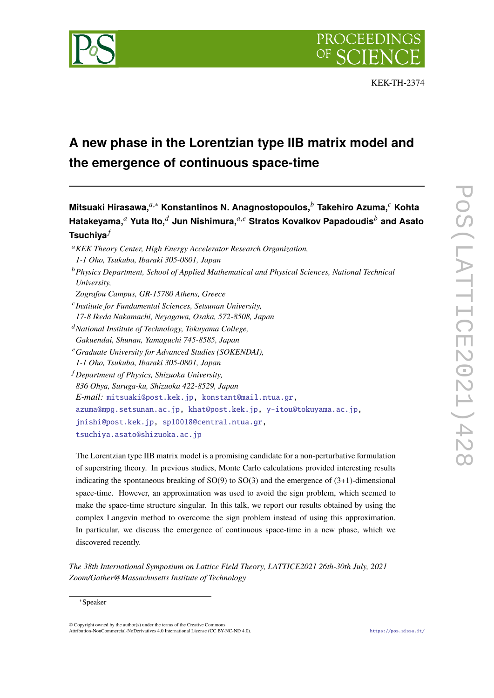

# **A new phase in the Lorentzian type IIB matrix model and the emergence of continuous space-time**

**Mitsuaki Hirasawa,**,<sup>∗</sup> **Konstantinos N. Anagnostopoulos, Takehiro Azuma, Kohta Hatakeyama, Yuta Ito, Jun Nishimura,**, **Stratos Kovalkov Papadoudis and Asato Tsuchiya**

- *KEK Theory Center, High Energy Accelerator Research Organization, 1-1 Oho, Tsukuba, Ibaraki 305-0801, Japan*
- *Physics Department, School of Applied Mathematical and Physical Sciences, National Technical University,*

*Zografou Campus, GR-15780 Athens, Greece*

 *Institute for Fundamental Sciences, Setsunan University, 17-8 Ikeda Nakamachi, Neyagawa, Osaka, 572-8508, Japan*

*National Institute of Technology, Tokuyama College, Gakuendai, Shunan, Yamaguchi 745-8585, Japan*

*Graduate University for Advanced Studies (SOKENDAI), 1-1 Oho, Tsukuba, Ibaraki 305-0801, Japan*

 *Department of Physics, Shizuoka University, 836 Ohya, Suruga-ku, Shizuoka 422-8529, Japan E-mail:* [mitsuaki@post.kek.jp,](mailto:mitsuaki@post.kek.jp) [konstant@mail.ntua.gr,](mailto:konstant@mail.ntua.gr) [azuma@mpg.setsunan.ac.jp,](mailto:azuma@mpg.setsunan.ac.jp) [khat@post.kek.jp,](mailto:khat@post.kek.jp) [y-itou@tokuyama.ac.jp,](mailto:y-itou@tokuyama.ac.jp) [jnishi@post.kek.jp,](mailto:jnishi@post.kek.jp) [sp10018@central.ntua.gr,](mailto:sp10018@central.ntua.gr) [tsuchiya.asato@shizuoka.ac.jp](mailto:tsuchiya.asato@shizuoka.ac.jp)

The Lorentzian type IIB matrix model is a promising candidate for a non-perturbative formulation of superstring theory. In previous studies, Monte Carlo calculations provided interesting results indicating the spontaneous breaking of  $SO(9)$  to  $SO(3)$  and the emergence of  $(3+1)$ -dimensional space-time. However, an approximation was used to avoid the sign problem, which seemed to make the space-time structure singular. In this talk, we report our results obtained by using the complex Langevin method to overcome the sign problem instead of using this approximation. In particular, we discuss the emergence of continuous space-time in a new phase, which we discovered recently.

*The 38th International Symposium on Lattice Field Theory, LATTICE2021 26th-30th July, 2021 Zoom/Gather@Massachusetts Institute of Technology*

© Copyright owned by the author(s) under the terms of the Creative Commons Attribution-NonCommercial-NoDerivatives 4.0 International License (CC BY-NC-ND 4.0). <https://pos.sissa.it/>

<sup>∗</sup>Speaker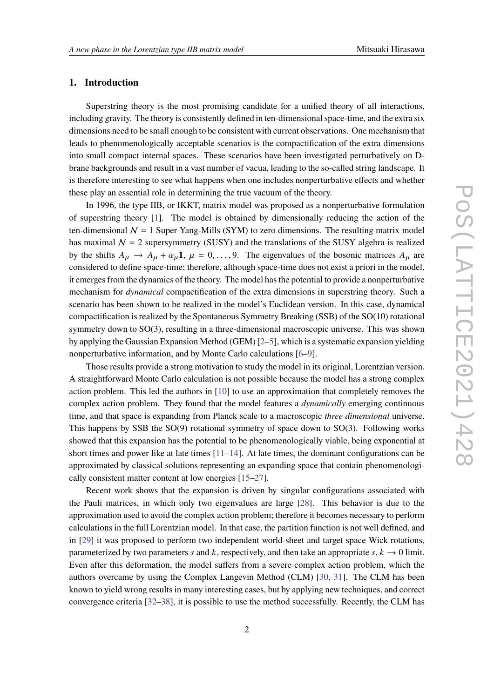# **1. Introduction**

Superstring theory is the most promising candidate for a unified theory of all interactions, including gravity. The theory is consistently defined in ten-dimensional space-time, and the extra six dimensions need to be small enough to be consistent with current observations. One mechanism that leads to phenomenologically acceptable scenarios is the compactification of the extra dimensions into small compact internal spaces. These scenarios have been investigated perturbatively on Dbrane backgrounds and result in a vast number of vacua, leading to the so-called string landscape. It is therefore interesting to see what happens when one includes nonperturbative effects and whether these play an essential role in determining the true vacuum of the theory.

In 1996, the type IIB, or IKKT, matrix model was proposed as a nonperturbative formulation of superstring theory [\[1\]](#page-7-0). The model is obtained by dimensionally reducing the action of the ten-dimensional  $N = 1$  Super Yang-Mills (SYM) to zero dimensions. The resulting matrix model has maximal  $N = 2$  supersymmetry (SUSY) and the translations of the SUSY algebra is realized by the shifts  $A_{\mu} \rightarrow A_{\mu} + \alpha_{\mu} \mathbf{1}, \mu = 0, \dots, 9$ . The eigenvalues of the bosonic matrices  $A_{\mu}$  are considered to define space-time; therefore, although space-time does not exist a priori in the model, it emerges from the dynamics of the theory. The model has the potential to provide a nonperturbative mechanism for *dynamical* compactification of the extra dimensions in superstring theory. Such a scenario has been shown to be realized in the model's Euclidean version. In this case, dynamical compactification is realized by the Spontaneous Symmetry Breaking (SSB) of the SO(10) rotational symmetry down to SO(3), resulting in a three-dimensional macroscopic universe. This was shown by applying the Gaussian Expansion Method (GEM) [\[2–](#page-7-1)[5\]](#page-7-2), which is a systematic expansion yielding nonperturbative information, and by Monte Carlo calculations [\[6](#page-7-3)[–9\]](#page-7-4).

Those results provide a strong motivation to study the model in its original, Lorentzian version. A straightforward Monte Carlo calculation is not possible because the model has a strong complex action problem. This led the authors in [\[10\]](#page-7-5) to use an approximation that completely removes the complex action problem. They found that the model features a *dynamically* emerging continuous time, and that space is expanding from Planck scale to a macroscopic *three dimensional* universe. This happens by SSB the SO(9) rotational symmetry of space down to SO(3). Following works showed that this expansion has the potential to be phenomenologically viable, being exponential at short times and power like at late times  $[11-14]$  $[11-14]$ . At late times, the dominant configurations can be approximated by classical solutions representing an expanding space that contain phenomenologically consistent matter content at low energies [\[15](#page-8-1)[–27\]](#page-9-0).

Recent work shows that the expansion is driven by singular configurations associated with the Pauli matrices, in which only two eigenvalues are large [\[28\]](#page-9-1). This behavior is due to the approximation used to avoid the complex action problem; therefore it becomes necessary to perform calculations in the full Lorentzian model. In that case, the partition function is not well defined, and in [\[29\]](#page-9-2) it was proposed to perform two independent world-sheet and target space Wick rotations, parameterized by two parameters s and k, respectively, and then take an appropriate s,  $k \to 0$  limit. Even after this deformation, the model suffers from a severe complex action problem, which the authors overcame by using the Complex Langevin Method (CLM) [\[30,](#page-9-3) [31\]](#page-9-4). The CLM has been known to yield wrong results in many interesting cases, but by applying new techniques, and correct convergence criteria [\[32](#page-9-5)[–38\]](#page-9-6), it is possible to use the method successfully. Recently, the CLM has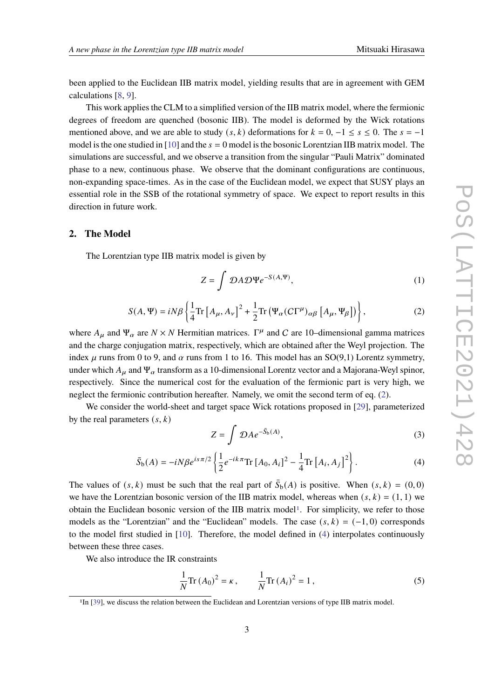been applied to the Euclidean IIB matrix model, yielding results that are in agreement with GEM calculations [\[8,](#page-7-7) [9\]](#page-7-4).

This work applies the CLM to a simplified version of the IIB matrix model, where the fermionic degrees of freedom are quenched (bosonic IIB). The model is deformed by the Wick rotations mentioned above, and we are able to study  $(s, k)$  deformations for  $k = 0, -1 \le s \le 0$ . The  $s = -1$ model is the one studied in [\[10\]](#page-7-5) and the  $s = 0$  model is the bosonic Lorentzian IIB matrix model. The simulations are successful, and we observe a transition from the singular "Pauli Matrix" dominated phase to a new, continuous phase. We observe that the dominant configurations are continuous, non-expanding space-times. As in the case of the Euclidean model, we expect that SUSY plays an essential role in the SSB of the rotational symmetry of space. We expect to report results in this direction in future work.

# **2. The Model**

The Lorentzian type IIB matrix model is given by

$$
Z = \int \mathcal{D}A \mathcal{D}\Psi e^{-S(A,\Psi)},\tag{1}
$$

<span id="page-2-0"></span>
$$
S(A, \Psi) = iN\beta \left\{ \frac{1}{4} \text{Tr} \left[ A_{\mu}, A_{\nu} \right]^{2} + \frac{1}{2} \text{Tr} \left( \Psi_{\alpha} (C\Gamma^{\mu})_{\alpha\beta} \left[ A_{\mu}, \Psi_{\beta} \right] \right) \right\},
$$
 (2)

where  $A_{\mu}$  and  $\Psi_{\alpha}$  are  $N \times N$  Hermitian matrices.  $\Gamma^{\mu}$  and C are 10-dimensional gamma matrices and the charge conjugation matrix, respectively, which are obtained after the Weyl projection. The index  $\mu$  runs from 0 to 9, and  $\alpha$  runs from 1 to 16. This model has an SO(9,1) Lorentz symmetry, under which  $A_{\mu}$  and  $\Psi_{\alpha}$  transform as a 10-dimensional Lorentz vector and a Majorana-Weyl spinor, respectively. Since the numerical cost for the evaluation of the fermionic part is very high, we neglect the fermionic contribution hereafter. Namely, we omit the second term of eq. [\(2\)](#page-2-0).

We consider the world-sheet and target space Wick rotations proposed in [\[29\]](#page-9-2), parameterized by the real parameters  $(s, k)$ 

<span id="page-2-3"></span>
$$
Z = \int \mathcal{D}A e^{-\bar{S}_b(A)},\tag{3}
$$

<span id="page-2-2"></span>
$$
\bar{S}_{b}(A) = -iN\beta e^{is\pi/2} \left\{ \frac{1}{2} e^{-ik\pi} \text{Tr} \left[ A_0, A_i \right]^2 - \frac{1}{4} \text{Tr} \left[ A_i, A_j \right]^2 \right\}.
$$
 (4)

The values of  $(s, k)$  must be such that the real part of  $\bar{S}_b(A)$  is positive. When  $(s, k) = (0, 0)$ we have the Lorentzian bosonic version of the IIB matrix model, whereas when  $(s, k) = (1, 1)$  we obtain the Euclidean bosonic version of the IIB matrix model<sup>[1](#page-2-1)</sup>. For simplicity, we refer to those models as the "Lorentzian" and the "Euclidean" models. The case  $(s, k) = (-1, 0)$  corresponds to the model first studied in [\[10\]](#page-7-5). Therefore, the model defined in [\(4\)](#page-2-2) interpolates continuously between these three cases.

We also introduce the IR constraints

<span id="page-2-4"></span>
$$
\frac{1}{N}\text{Tr}(A_0)^2 = \kappa, \qquad \frac{1}{N}\text{Tr}(A_i)^2 = 1,
$$
\n(5)

<span id="page-2-1"></span><sup>&</sup>lt;sup>1</sup>In [\[39\]](#page-9-7), we discuss the relation between the Euclidean and Lorentzian versions of type IIB matrix model.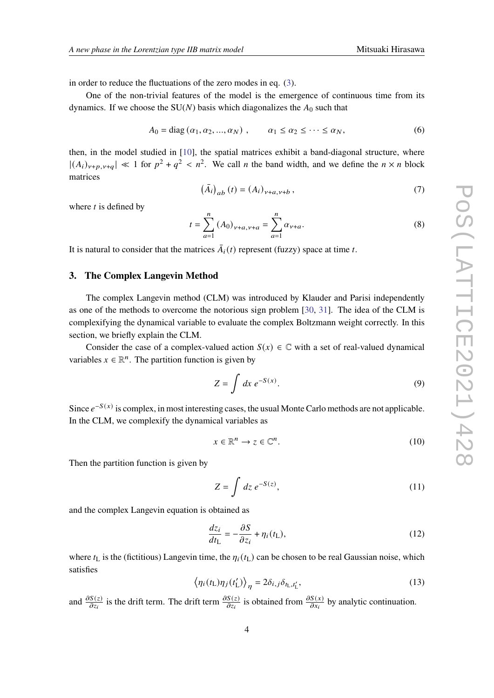in order to reduce the fluctuations of the zero modes in eq. [\(3\)](#page-2-3).

One of the non-trivial features of the model is the emergence of continuous time from its dynamics. If we choose the  $SU(N)$  basis which diagonalizes the  $A_0$  such that

$$
A_0 = \text{diag}(\alpha_1, \alpha_2, ..., \alpha_N) , \qquad \alpha_1 \le \alpha_2 \le \cdots \le \alpha_N, \tag{6}
$$

<span id="page-3-2"></span>then, in the model studied in [\[10\]](#page-7-5), the spatial matrices exhibit a band-diagonal structure, where  $|(A_i)_{\nu+p,\nu+q}| \ll 1$  for  $p^2 + q^2 < n^2$ . We call *n* the band width, and we define the  $n \times n$  block matrices

$$
(\bar{A}_{i})_{ab}(t) = (A_{i})_{\nu+a,\nu+b},
$$
\n(7)

where  $t$  is defined by

$$
t = \sum_{a=1}^{n} (A_0)_{\nu+a,\nu+a} = \sum_{a=1}^{n} \alpha_{\nu+a}.
$$
 (8)

It is natural to consider that the matrices  $\overline{A}_i(t)$  represent (fuzzy) space at time t.

# **3. The Complex Langevin Method**

The complex Langevin method (CLM) was introduced by Klauder and Parisi independently as one of the methods to overcome the notorious sign problem [\[30,](#page-9-3) [31\]](#page-9-4). The idea of the CLM is complexifying the dynamical variable to evaluate the complex Boltzmann weight correctly. In this section, we briefly explain the CLM.

Consider the case of a complex-valued action  $S(x) \in \mathbb{C}$  with a set of real-valued dynamical variables  $x \in \mathbb{R}^n$ . The partition function is given by

<span id="page-3-1"></span>
$$
Z = \int dx \, e^{-S(x)}.\tag{9}
$$

Since  $e^{-S(x)}$  is complex, in most interesting cases, the usual Monte Carlo methods are not applicable. In the CLM, we complexify the dynamical variables as

$$
x \in \mathbb{R}^n \to z \in \mathbb{C}^n. \tag{10}
$$

Then the partition function is given by

$$
Z = \int dz \, e^{-S(z)},\tag{11}
$$

and the complex Langevin equation is obtained as

<span id="page-3-0"></span>
$$
\frac{dz_i}{dt_{\rm L}} = -\frac{\partial S}{\partial z_i} + \eta_i(t_{\rm L}),\tag{12}
$$

where  $t_L$  is the (fictitious) Langevin time, the  $\eta_i(t_L)$  can be chosen to be real Gaussian noise, which satisfies

$$
\langle \eta_i(t_\text{L}) \eta_j(t'_\text{L}) \rangle_{\eta} = 2\delta_{i,j} \delta_{t_\text{L},t'_\text{L}},\tag{13}
$$

and  $\frac{\partial S(z)}{\partial z_i}$  is the drift term. The drift term  $\frac{\partial S(z)}{\partial z_i}$  is obtained from  $\frac{\partial S(x)}{\partial x_i}$  by analytic continuation.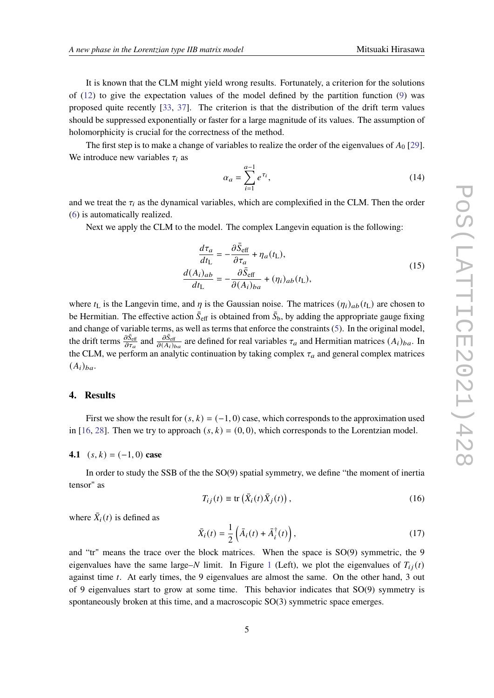It is known that the CLM might yield wrong results. Fortunately, a criterion for the solutions of  $(12)$  to give the expectation values of the model defined by the partition function  $(9)$  was proposed quite recently [\[33,](#page-9-8) [37\]](#page-9-9). The criterion is that the distribution of the drift term values should be suppressed exponentially or faster for a large magnitude of its values. The assumption of holomorphicity is crucial for the correctness of the method.

The first step is to make a change of variables to realize the order of the eigenvalues of  $A_0$  [\[29\]](#page-9-2). We introduce new variables  $\tau_i$  as

$$
\alpha_a = \sum_{i=1}^{a-1} e^{\tau_i},\tag{14}
$$

and we treat the  $\tau_i$  as the dynamical variables, which are complexified in the CLM. Then the order [\(6\)](#page-3-2) is automatically realized.

Next we apply the CLM to the model. The complex Langevin equation is the following:

$$
\frac{d\tau_a}{dt_L} = -\frac{\partial \bar{S}_{\text{eff}}}{\partial \tau_a} + \eta_a(t_L),
$$
\n
$$
\frac{d(A_i)_{ab}}{dt_L} = -\frac{\partial \bar{S}_{\text{eff}}}{\partial (A_i)_{ba}} + (\eta_i)_{ab}(t_L),
$$
\n(15)

where  $t_L$  is the Langevin time, and  $\eta$  is the Gaussian noise. The matrices  $(\eta_i)_{ab}(t_L)$  are chosen to be Hermitian. The effective action  $\bar{S}_{\text{eff}}$  is obtained from  $\bar{S}_{b}$ , by adding the appropriate gauge fixing and change of variable terms, as well as terms that enforce the constraints [\(5\)](#page-2-4). In the original model, the drift terms  $\frac{\partial \bar{S}_{\text{eff}}}{\partial \tau_a}$  and  $\frac{\partial \bar{S}_{\text{eff}}}{\partial (A_i)_{ba}}$  are defined for real variables  $\tau_a$  and Hermitian matrices  $(A_i)_{ba}$ . In the CLM, we perform an analytic continuation by taking complex  $\tau_a$  and general complex matrices  $(A_i)_{ba}.$ 

#### **4. Results**

First we show the result for  $(s, k) = (-1, 0)$  case, which corresponds to the approximation used in [\[16,](#page-8-2) [28\]](#page-9-1). Then we try to approach  $(s, k) = (0, 0)$ , which corresponds to the Lorentzian model.

**4.1**  $(s, k) = (-1, 0)$  **case** 

In order to study the SSB of the the SO(9) spatial symmetry, we define "the moment of inertia tensor" as

$$
T_{ij}(t) \equiv \text{tr}\left(\bar{X}_i(t)\bar{X}_j(t)\right),\tag{16}
$$

where  $\bar{X}_i(t)$  is defined as

$$
\bar{X}_i(t) = \frac{1}{2} \left( \bar{A}_i(t) + \bar{A}_i^{\dagger}(t) \right),\tag{17}
$$

and "tr" means the trace over the block matrices. When the space is SO(9) symmetric, the 9 eigenvalues have the same large–N limit. In Figure [1](#page-5-0) (Left), we plot the eigenvalues of  $T_{ii}(t)$ against time  $t$ . At early times, the 9 eigenvalues are almost the same. On the other hand, 3 out of 9 eigenvalues start to grow at some time. This behavior indicates that SO(9) symmetry is spontaneously broken at this time, and a macroscopic SO(3) symmetric space emerges.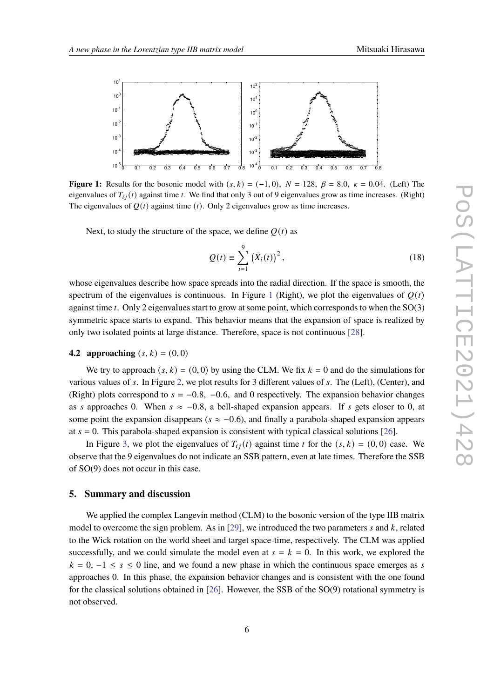<span id="page-5-0"></span>

**Figure 1:** Results for the bosonic model with  $(s, k) = (-1, 0)$ ,  $N = 128$ ,  $\beta = 8.0$ ,  $\kappa = 0.04$ . (Left) The eigenvalues of  $T_{i,j}(t)$  against time t. We find that only 3 out of 9 eigenvalues grow as time increases. (Right) The eigenvalues of  $Q(t)$  against time (t). Only 2 eigenvalues grow as time increases.

Next, to study the structure of the space, we define  $Q(t)$  as

$$
Q(t) = \sum_{i=1}^{9} (\bar{X}_i(t))^2,
$$
 (18)

whose eigenvalues describe how space spreads into the radial direction. If the space is smooth, the spectrum of the eigenvalues is continuous. In Figure [1](#page-5-0) (Right), we plot the eigenvalues of  $O(t)$ against time  $t$ . Only 2 eigenvalues start to grow at some point, which corresponds to when the  $SO(3)$ symmetric space starts to expand. This behavior means that the expansion of space is realized by only two isolated points at large distance. Therefore, space is not continuous [\[28\]](#page-9-1).

#### **4.2 approaching**  $(s, k) = (0, 0)$

We try to approach  $(s, k) = (0, 0)$  by using the CLM. We fix  $k = 0$  and do the simulations for various values of  $s$ . In Figure [2,](#page-6-0) we plot results for 3 different values of  $s$ . The (Left), (Center), and (Right) plots correspond to  $s = -0.8$ ,  $-0.6$ , and 0 respectively. The expansion behavior changes as s approaches 0. When  $s \approx -0.8$ , a bell-shaped expansion appears. If s gets closer to 0, at some point the expansion disappears ( $s \approx -0.6$ ), and finally a parabola-shaped expansion appears at  $s = 0$ . This parabola-shaped expansion is consistent with typical classical solutions [\[26\]](#page-8-3).

In Figure [3,](#page-6-1) we plot the eigenvalues of  $T_{ii}(t)$  against time t for the  $(s, k) = (0, 0)$  case. We observe that the 9 eigenvalues do not indicate an SSB pattern, even at late times. Therefore the SSB of SO(9) does not occur in this case.

# **5. Summary and discussion**

We applied the complex Langevin method (CLM) to the bosonic version of the type IIB matrix model to overcome the sign problem. As in [\[29\]](#page-9-2), we introduced the two parameters  $s$  and  $k$ , related to the Wick rotation on the world sheet and target space-time, respectively. The CLM was applied successfully, and we could simulate the model even at  $s = k = 0$ . In this work, we explored the  $k = 0, -1 \le s \le 0$  line, and we found a new phase in which the continuous space emerges as s approaches 0. In this phase, the expansion behavior changes and is consistent with the one found for the classical solutions obtained in [\[26\]](#page-8-3). However, the SSB of the SO(9) rotational symmetry is not observed.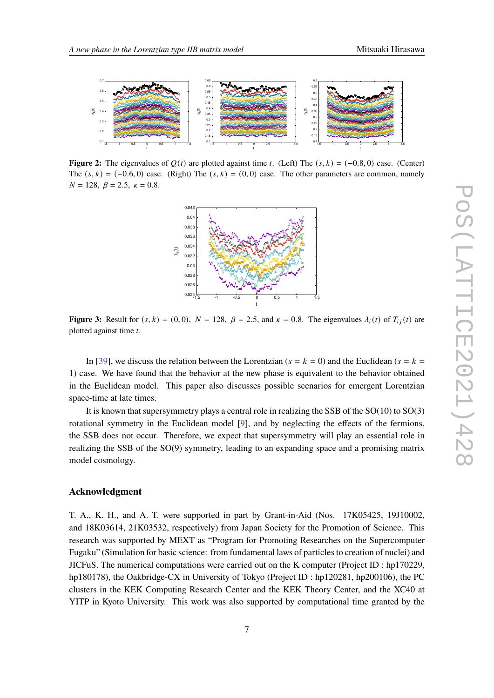<span id="page-6-0"></span>

<span id="page-6-1"></span>**Figure 2:** The eigenvalues of  $Q(t)$  are plotted against time t. (Left) The  $(s, k) = (-0.8, 0)$  case. (Center) The  $(s, k) = (-0.6, 0)$  case. (Right) The  $(s, k) = (0, 0)$  case. The other parameters are common, namely  $N = 128$ ,  $\beta = 2.5$ ,  $\kappa = 0.8$ .



**Figure 3:** Result for  $(s, k) = (0, 0)$ ,  $N = 128$ ,  $\beta = 2.5$ , and  $\kappa = 0.8$ . The eigenvalues  $\lambda_i(t)$  of  $T_{i}(t)$  are plotted against time  $t$ .

In [\[39\]](#page-9-7), we discuss the relation between the Lorentzian ( $s = k = 0$ ) and the Euclidean ( $s = k = 1$ ) 1) case. We have found that the behavior at the new phase is equivalent to the behavior obtained in the Euclidean model. This paper also discusses possible scenarios for emergent Lorentzian space-time at late times.

It is known that supersymmetry plays a central role in realizing the SSB of the  $SO(10)$  to  $SO(3)$ rotational symmetry in the Euclidean model [\[9\]](#page-7-4), and by neglecting the effects of the fermions, the SSB does not occur. Therefore, we expect that supersymmetry will play an essential role in realizing the SSB of the SO(9) symmetry, leading to an expanding space and a promising matrix model cosmology.

#### **Acknowledgment**

T. A., K. H., and A. T. were supported in part by Grant-in-Aid (Nos. 17K05425, 19J10002, and 18K03614, 21K03532, respectively) from Japan Society for the Promotion of Science. This research was supported by MEXT as "Program for Promoting Researches on the Supercomputer Fugaku" (Simulation for basic science: from fundamental laws of particles to creation of nuclei) and JICFuS. The numerical computations were carried out on the K computer (Project ID : hp170229, hp180178), the Oakbridge-CX in University of Tokyo (Project ID : hp120281, hp200106), the PC clusters in the KEK Computing Research Center and the KEK Theory Center, and the XC40 at YITP in Kyoto University. This work was also supported by computational time granted by the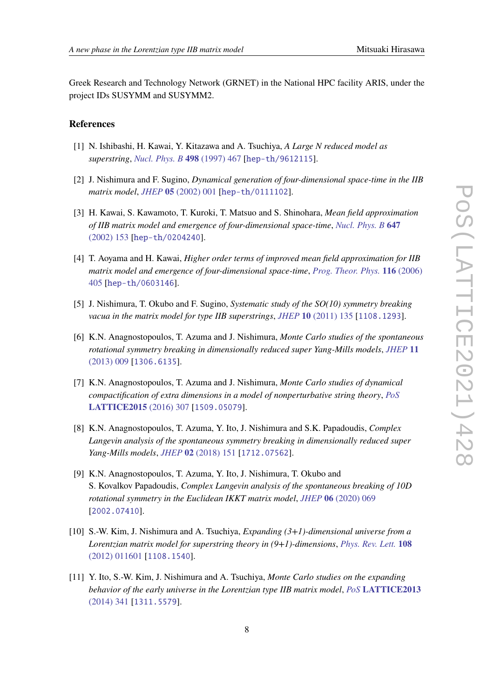Greek Research and Technology Network (GRNET) in the National HPC facility ARIS, under the project IDs SUSYMM and SUSYMM2.

# **References**

- <span id="page-7-0"></span>[1] N. Ishibashi, H. Kawai, Y. Kitazawa and A. Tsuchiya, *A Large N reduced model as superstring*, *[Nucl. Phys. B](https://doi.org/10.1016/S0550-3213(97)00290-3)* **498** (1997) 467 [[hep-th/9612115](https://arxiv.org/abs/hep-th/9612115)].
- <span id="page-7-1"></span>[2] J. Nishimura and F. Sugino, *Dynamical generation of four-dimensional space-time in the IIB matrix model*, *JHEP* **05** [\(2002\) 001](https://doi.org/10.1088/1126-6708/2002/05/001) [[hep-th/0111102](https://arxiv.org/abs/hep-th/0111102)].
- [3] H. Kawai, S. Kawamoto, T. Kuroki, T. Matsuo and S. Shinohara, *Mean field approximation of IIB matrix model and emergence of four-dimensional space-time*, *[Nucl. Phys. B](https://doi.org/10.1016/S0550-3213(02)00908-2)* **647** [\(2002\) 153](https://doi.org/10.1016/S0550-3213(02)00908-2) [[hep-th/0204240](https://arxiv.org/abs/hep-th/0204240)].
- [4] T. Aoyama and H. Kawai, *Higher order terms of improved mean field approximation for IIB matrix model and emergence of four-dimensional space-time*, *[Prog. Theor. Phys.](https://doi.org/10.1143/PTP.116.405)* **116** (2006) [405](https://doi.org/10.1143/PTP.116.405) [[hep-th/0603146](https://arxiv.org/abs/hep-th/0603146)].
- <span id="page-7-2"></span>[5] J. Nishimura, T. Okubo and F. Sugino, *Systematic study of the SO(10) symmetry breaking vacua in the matrix model for type IIB superstrings*, *JHEP* **10** [\(2011\) 135](https://doi.org/10.1007/JHEP10(2011)135) [[1108.1293](https://arxiv.org/abs/1108.1293)].
- <span id="page-7-3"></span>[6] K.N. Anagnostopoulos, T. Azuma and J. Nishimura, *Monte Carlo studies of the spontaneous rotational symmetry breaking in dimensionally reduced super Yang-Mills models*, *[JHEP](https://doi.org/10.1007/JHEP11(2013)009)* **11** [\(2013\) 009](https://doi.org/10.1007/JHEP11(2013)009) [[1306.6135](https://arxiv.org/abs/1306.6135)].
- [7] K.N. Anagnostopoulos, T. Azuma and J. Nishimura, *Monte Carlo studies of dynamical compactification of extra dimensions in a model of nonperturbative string theory*, *[PoS](https://doi.org/10.22323/1.251.0307)* **[LATTICE2015](https://doi.org/10.22323/1.251.0307)** (2016) 307 [[1509.05079](https://arxiv.org/abs/1509.05079)].
- <span id="page-7-7"></span>[8] K.N. Anagnostopoulos, T. Azuma, Y. Ito, J. Nishimura and S.K. Papadoudis, *Complex Langevin analysis of the spontaneous symmetry breaking in dimensionally reduced super Yang-Mills models*, *JHEP* **02** [\(2018\) 151](https://doi.org/10.1007/JHEP02(2018)151) [[1712.07562](https://arxiv.org/abs/1712.07562)].
- <span id="page-7-4"></span>[9] K.N. Anagnostopoulos, T. Azuma, Y. Ito, J. Nishimura, T. Okubo and S. Kovalkov Papadoudis, *Complex Langevin analysis of the spontaneous breaking of 10D rotational symmetry in the Euclidean IKKT matrix model*, *JHEP* **06** [\(2020\) 069](https://doi.org/10.1007/JHEP06(2020)069) [[2002.07410](https://arxiv.org/abs/2002.07410)].
- <span id="page-7-5"></span>[10] S.-W. Kim, J. Nishimura and A. Tsuchiya, *Expanding (3+1)-dimensional universe from a Lorentzian matrix model for superstring theory in (9+1)-dimensions*, *[Phys. Rev. Lett.](https://doi.org/10.1103/PhysRevLett.108.011601)* **108** [\(2012\) 011601](https://doi.org/10.1103/PhysRevLett.108.011601) [[1108.1540](https://arxiv.org/abs/1108.1540)].
- <span id="page-7-6"></span>[11] Y. Ito, S.-W. Kim, J. Nishimura and A. Tsuchiya, *Monte Carlo studies on the expanding behavior of the early universe in the Lorentzian type IIB matrix model*, *PoS* **[LATTICE2013](https://doi.org/10.22323/1.187.0341)** [\(2014\) 341](https://doi.org/10.22323/1.187.0341) [[1311.5579](https://arxiv.org/abs/1311.5579)].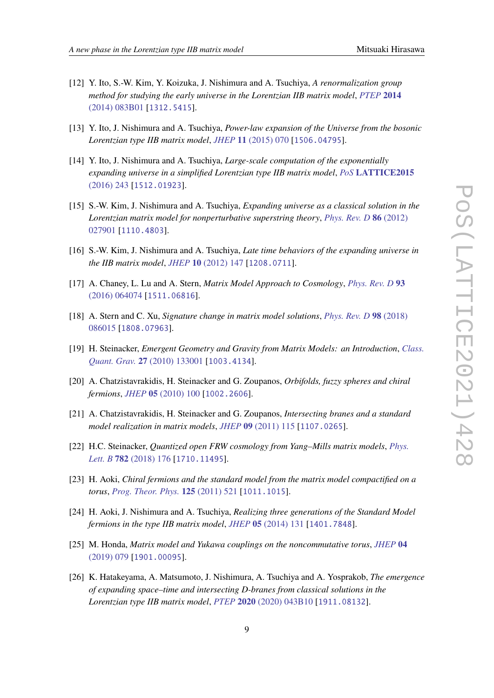- [12] Y. Ito, S.-W. Kim, Y. Koizuka, J. Nishimura and A. Tsuchiya, *A renormalization group method for studying the early universe in the Lorentzian IIB matrix model*, *[PTEP](https://doi.org/10.1093/ptep/ptu101)* **2014** [\(2014\) 083B01](https://doi.org/10.1093/ptep/ptu101) [[1312.5415](https://arxiv.org/abs/1312.5415)].
- [13] Y. Ito, J. Nishimura and A. Tsuchiya, *Power-law expansion of the Universe from the bosonic Lorentzian type IIB matrix model*, *JHEP* **11** [\(2015\) 070](https://doi.org/10.1007/JHEP11(2015)070) [[1506.04795](https://arxiv.org/abs/1506.04795)].
- <span id="page-8-0"></span>[14] Y. Ito, J. Nishimura and A. Tsuchiya, *Large-scale computation of the exponentially expanding universe in a simplified Lorentzian type IIB matrix model*, *PoS* **[LATTICE2015](https://doi.org/10.22323/1.251.0243)** [\(2016\) 243](https://doi.org/10.22323/1.251.0243) [[1512.01923](https://arxiv.org/abs/1512.01923)].
- <span id="page-8-1"></span>[15] S.-W. Kim, J. Nishimura and A. Tsuchiya, *Expanding universe as a classical solution in the Lorentzian matrix model for nonperturbative superstring theory*, *[Phys. Rev. D](https://doi.org/10.1103/PhysRevD.86.027901)* **86** (2012) [027901](https://doi.org/10.1103/PhysRevD.86.027901) [[1110.4803](https://arxiv.org/abs/1110.4803)].
- <span id="page-8-2"></span>[16] S.-W. Kim, J. Nishimura and A. Tsuchiya, *Late time behaviors of the expanding universe in the IIB matrix model*, *JHEP* **10** [\(2012\) 147](https://doi.org/10.1007/JHEP10(2012)147) [[1208.0711](https://arxiv.org/abs/1208.0711)].
- [17] A. Chaney, L. Lu and A. Stern, *Matrix Model Approach to Cosmology*, *[Phys. Rev. D](https://doi.org/10.1103/PhysRevD.93.064074)* **93** [\(2016\) 064074](https://doi.org/10.1103/PhysRevD.93.064074) [[1511.06816](https://arxiv.org/abs/1511.06816)].
- [18] A. Stern and C. Xu, *Signature change in matrix model solutions*, *[Phys. Rev. D](https://doi.org/10.1103/PhysRevD.98.086015)* **98** (2018) [086015](https://doi.org/10.1103/PhysRevD.98.086015) [[1808.07963](https://arxiv.org/abs/1808.07963)].
- [19] H. Steinacker, *Emergent Geometry and Gravity from Matrix Models: an Introduction*, *[Class.](https://doi.org/10.1088/0264-9381/27/13/133001) Quant. Grav.* **27** [\(2010\) 133001](https://doi.org/10.1088/0264-9381/27/13/133001) [[1003.4134](https://arxiv.org/abs/1003.4134)].
- [20] A. Chatzistavrakidis, H. Steinacker and G. Zoupanos, *Orbifolds, fuzzy spheres and chiral fermions*, *JHEP* **05** [\(2010\) 100](https://doi.org/10.1007/JHEP05(2010)100) [[1002.2606](https://arxiv.org/abs/1002.2606)].
- [21] A. Chatzistavrakidis, H. Steinacker and G. Zoupanos, *Intersecting branes and a standard model realization in matrix models*, *JHEP* **09** [\(2011\) 115](https://doi.org/10.1007/JHEP09(2011)115) [[1107.0265](https://arxiv.org/abs/1107.0265)].
- [22] H.C. Steinacker, *Quantized open FRW cosmology from Yang–Mills matrix models*, *[Phys.](https://doi.org/10.1016/j.physletb.2018.05.011) Lett. B* **782** [\(2018\) 176](https://doi.org/10.1016/j.physletb.2018.05.011) [[1710.11495](https://arxiv.org/abs/1710.11495)].
- [23] H. Aoki, *Chiral fermions and the standard model from the matrix model compactified on a torus*, *[Prog. Theor. Phys.](https://doi.org/10.1143/PTP.125.521)* **125** (2011) 521 [[1011.1015](https://arxiv.org/abs/1011.1015)].
- [24] H. Aoki, J. Nishimura and A. Tsuchiya, *Realizing three generations of the Standard Model fermions in the type IIB matrix model*, *JHEP* **05** [\(2014\) 131](https://doi.org/10.1007/JHEP05(2014)131) [[1401.7848](https://arxiv.org/abs/1401.7848)].
- [25] M. Honda, *Matrix model and Yukawa couplings on the noncommutative torus*, *[JHEP](https://doi.org/10.1007/JHEP04(2019)079)* **04** [\(2019\) 079](https://doi.org/10.1007/JHEP04(2019)079) [[1901.00095](https://arxiv.org/abs/1901.00095)].
- <span id="page-8-3"></span>[26] K. Hatakeyama, A. Matsumoto, J. Nishimura, A. Tsuchiya and A. Yosprakob, *The emergence of expanding space–time and intersecting D-branes from classical solutions in the Lorentzian type IIB matrix model*, *PTEP* **2020** [\(2020\) 043B10](https://doi.org/10.1093/ptep/ptaa042) [[1911.08132](https://arxiv.org/abs/1911.08132)].